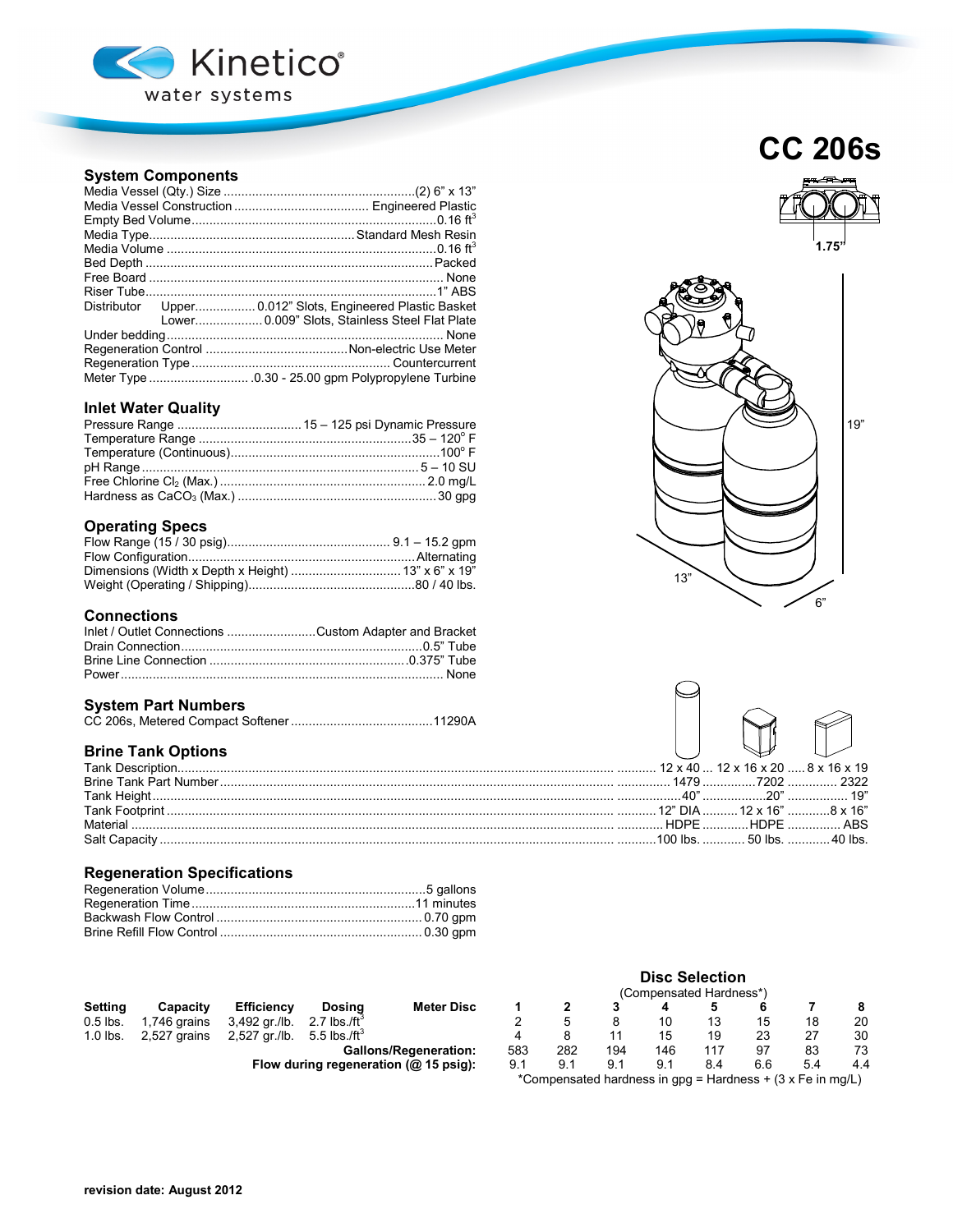

## **System Components**

| Distributor Upper 0.012" Slots, Engineered Plastic Basket |
|-----------------------------------------------------------|
| Lower 0.009" Slots, Stainless Steel Flat Plate            |
|                                                           |
|                                                           |
|                                                           |
|                                                           |

### **Inlet Water Quality**

## **Operating Specs**

### **Connections**

| Inlet / Outlet Connections Custom Adapter and Bracket |  |
|-------------------------------------------------------|--|
|                                                       |  |
|                                                       |  |
|                                                       |  |

### **System Part Numbers**

|--|--|

## **Brine Tank Options**

| Tank Description              |       | $12 \times 40$ $12 \times 16 \times 20$ $8 \times 16 \times 19$ |           |
|-------------------------------|-------|-----------------------------------------------------------------|-----------|
| <b>Brine Tank Part Number</b> |       |                                                                 | 7202 2322 |
| Tank Height.                  |       | $19n$ $19n$                                                     |           |
|                               |       |                                                                 |           |
| Material                      | HDPE. | HDPF ARS                                                        |           |
| <b>Salt Capacity</b>          |       | $100 \text{ lbs}$ 50 lbs                                        | 40 lbs    |
|                               |       |                                                                 |           |

## **Regeneration Specifications**

|            |              |                                        |                                          | I GUITIDEI ISAICU TIATUITESS |     |     |     |     |     |    |    |    |
|------------|--------------|----------------------------------------|------------------------------------------|------------------------------|-----|-----|-----|-----|-----|----|----|----|
| Settina    | Capacity     | <b>Efficiency</b>                      | Dosina                                   | <b>Meter Disc</b>            |     |     |     |     |     |    |    |    |
| $0.5$ lbs. | 1,746 grains | 3,492 gr./lb.                          | 2.7 lbs./ft $^{\circ}$                   |                              |     |     |     |     |     |    | 18 | 20 |
| $1.0$ lbs. | 2,527 grains | 2,527 gr./lb. 5.5 lbs./ft <sup>3</sup> |                                          |                              |     |     |     |     | 19  |    | 27 | 30 |
|            |              |                                        |                                          | <b>Gallons/Regeneration:</b> | 583 | 282 | 194 | 146 | 117 | 97 | 83 | 73 |
|            |              |                                        | Flow during regeneration $(n)$ 15 neight |                              | Q 1 |     |     | Q 1 |     |    |    |    |

# (Compensated Hardness\*)<br>3 4 5 6 **Gallons/Regeneration:** 583 282 194 146 117 97 83 73 **Flow during regeneration (@ 15 psig):** 9.1 9.1 9.1 9.1 8.4 6.6 5.4 4.4

**Disc Selection**

\*Compensated hardness in gpg = Hardness + (3 x Fe in mg/L)







| $.12 \times 40$ $ 12 \times 16 \times 20$ $ 8 \times 16 \times 19$                  |  |
|-------------------------------------------------------------------------------------|--|
| 1479 7202  2322                                                                     |  |
| $\ldots \ldots 40$ " $\ldots \ldots \ldots 20$ " $\ldots \ldots \ldots \ldots 19$ " |  |
| .12" DIA  12 x 16" 8 x 16"                                                          |  |
| HDPE HDPE  ABS                                                                      |  |
| .100 lbs.  50 lbs.  40 lbs.                                                         |  |